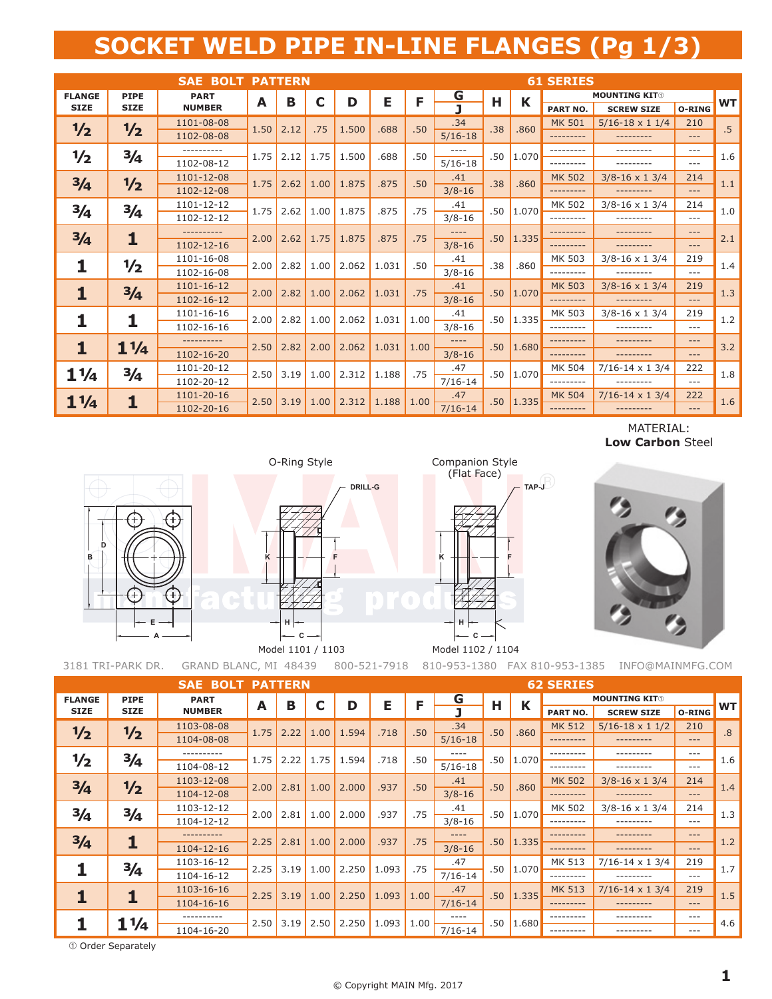## **SOCKET WELD PIPE IN-LINE FLANGES (Pg 1/3)**

|                |                | <b>SAE BOLT PATTERN</b> |      |      |      |       |       |      |             |     |       | <b>61 SERIES</b> |                         |        |                 |
|----------------|----------------|-------------------------|------|------|------|-------|-------|------|-------------|-----|-------|------------------|-------------------------|--------|-----------------|
| <b>FLANGE</b>  | <b>PIPE</b>    | <b>PART</b>             | A    | B    | С    | D     | Е     | F    | <u>G</u>    | Н   | K     |                  | <b>MOUNTING KIT®</b>    |        | <b>WT</b>       |
| <b>SIZE</b>    | <b>SIZE</b>    | <b>NUMBER</b>           |      |      |      |       |       |      |             |     |       | <b>PART NO.</b>  | <b>SCREW SIZE</b>       | O-RING |                 |
| 1/2            | 1/2            | 1101-08-08              | 1.50 | 2.12 | .75  | 1.500 | .688  | .50  | .34         | .38 | .860  | <b>MK 501</b>    | $5/16 - 18 \times 11/4$ | 210    | $.5\phantom{0}$ |
|                |                | 1102-08-08              |      |      |      |       |       |      | $5/16-18$   |     |       | .                | ---------               | $---$  |                 |
| 1/2            | 3/4            | ----------              | 1.75 | 2.12 | 1.75 | 1.500 | .688  | .50  |             | .50 | 1.070 |                  | ---------               | $---$  | 1.6             |
|                |                | 1102-08-12              |      |      |      |       |       |      | $5/16-18$   |     |       | .                | ---------               | $---$  |                 |
| 3/4            | $\frac{1}{2}$  | 1101-12-08              | 1.75 | 2.62 | 1.00 | 1.875 | .875  | .50  | .41         | .38 | .860  | <b>MK 502</b>    | $3/8 - 16 \times 13/4$  | 214    | 1.1             |
|                |                | 1102-12-08              |      |      |      |       |       |      | $3/8 - 16$  |     |       | ---------        | ---------               | $---$  |                 |
| 3/4            | 3/4            | 1101-12-12              | 1.75 | 2.62 | 1.00 | 1.875 | .875  | .75  | .41         | .50 | 1.070 | MK 502           | $3/8 - 16 \times 13/4$  | 214    | 1.0             |
|                |                | 1102-12-12              |      |      |      |       |       |      | $3/8 - 16$  |     |       | ---------        | ---------               | $---$  |                 |
| 3/4            | 1              |                         | 2.00 | 2.62 | 1.75 | 1.875 | .875  | .75  | ----        | .50 | 1.335 |                  |                         | $---$  | 2.1             |
|                |                | 1102-12-16              |      |      |      |       |       |      | $3/8 - 16$  |     |       | ---------        |                         | $---$  |                 |
| 1              | 1/2            | 1101-16-08              | 2.00 | 2.82 | 1.00 | 2.062 | 1.031 | .50  | .41         | .38 | .860  | MK 503           | $3/8 - 16 \times 13/4$  | 219    | 1.4             |
|                |                | 1102-16-08              |      |      |      |       |       |      | $3/8 - 16$  |     |       | ---------        | ---------               | $---$  |                 |
| 1              | 3/4            | 1101-16-12              | 2.00 | 2.82 | 1.00 | 2.062 | 1.031 | .75  | .41         | .50 | 1.070 | <b>MK 503</b>    | $3/8 - 16 \times 13/4$  | 219    | 1.3             |
|                |                | 1102-16-12              |      |      |      |       |       |      | $3/8 - 16$  |     |       | ---------        | ---------               | $---$  |                 |
|                | 1              | 1101-16-16              | 2.00 | 2.82 | 1.00 | 2.062 | 1.031 | 1.00 | .41         | .50 | 1.335 | MK 503           | $3/8 - 16 \times 13/4$  | 219    | 1.2             |
|                |                | 1102-16-16              |      |      |      |       |       |      | $3/8 - 16$  |     |       | --------         | ---------               | $---$  |                 |
| 1              | $1\frac{1}{4}$ | ----------              | 2.50 | 2.82 | 2.00 | 2.062 | 1.031 | 1.00 | $---$       | .50 | 1.680 | ---------        |                         | $---$  | 3.2             |
|                |                | 1102-16-20              |      |      |      |       |       |      | $3/8 - 16$  |     |       | ---------        | ---------               | $---$  |                 |
| $1\frac{1}{4}$ | 3/4            | 1101-20-12              | 2.50 | 3.19 | 1.00 | 2.312 | 1.188 | .75  | .47         | .50 | 1.070 | MK 504           | $7/16 - 14 \times 13/4$ | 222    | 1.8             |
|                |                | 1102-20-12              |      |      |      |       |       |      | $7/16 - 14$ |     |       | ---------        | ---------               | $---$  |                 |
| $1\frac{1}{4}$ | 1              | 1101-20-16              | 2.50 | 3.19 | 1.00 | 2.312 | 1.188 | 1.00 | .47         | .50 | 1.335 | <b>MK 504</b>    | $7/16 - 14 \times 13/4$ | 222    | 1.6             |
|                |                | 1102-20-16              |      |      |      |       |       |      | $7/16 - 14$ |     |       | ---------        | ---------               | $---$  |                 |

MATERIAL: **Low Carbon** Steel



O-Ring Style Companion Style



3181 TRI-PARK DR. GRAND BLANC, MI 48439 800-521-7918 810-953-1380 FAX 810-953-1385 INFO@MAINMFG.COM

|               |                | <b>SAE BOLT PATTERN</b> |      |      |      |       |       |      | <b>62 SERIES</b> |     |       |                 |                         |           |           |  |
|---------------|----------------|-------------------------|------|------|------|-------|-------|------|------------------|-----|-------|-----------------|-------------------------|-----------|-----------|--|
| <b>FLANGE</b> | <b>PIPE</b>    | <b>PART</b>             | A    | в    |      | D     | Е     | F    | G                | н   | K     |                 | <b>MOUNTING KITO</b>    |           | <b>WT</b> |  |
| <b>SIZE</b>   | <b>SIZE</b>    | <b>NUMBER</b>           |      |      | C    |       |       |      |                  |     |       | <b>PART NO.</b> | <b>SCREW SIZE</b>       | O-RING    |           |  |
| 1/2           | 1/2            | 1103-08-08              | 1.75 | 2.22 | 1.00 | 1.594 | .718  | .50  | .34              | .50 | .860  | <b>MK 512</b>   | $5/16 - 18 \times 11/2$ | 210       | .8        |  |
|               |                | 1104-08-08              |      |      |      |       |       |      | $5/16-18$        |     |       | ---------       | ---------               | $---$     |           |  |
| $\frac{1}{2}$ | $\frac{3}{4}$  | ----------              | 1.75 | 2.22 | 1.75 | 1.594 | .718  | .50  | $- - - -$        | .50 | 1.070 | ---------       | ---------               | $- - -$   | 1.6       |  |
|               |                | 1104-08-12              |      |      |      |       |       |      | $5/16-18$        |     |       | ---------       | ---------               | $- - -$   |           |  |
| 3/4           | 1/2            | 1103-12-08              | 2.00 | 2.81 | 1.00 | 2.000 | .937  | .50  | .41              | .50 | .860  | <b>MK 502</b>   | $3/8 - 16 \times 13/4$  | 214       | 1.4       |  |
|               |                | 1104-12-08              |      |      |      |       |       |      | $3/8 - 16$       |     |       | ---------       | ---------               | $---$     |           |  |
| 3/4           | $\frac{3}{4}$  | 1103-12-12              | 2.00 | 2.81 | 1.00 | 2.000 | .937  | .75  | .41              | .50 | 1.070 | MK 502          | $3/8 - 16 \times 13/4$  | 214       | 1.3       |  |
|               |                | 1104-12-12              |      |      |      |       |       |      | $3/8 - 16$       |     |       | ---------       | ---------               | $---$     |           |  |
| 3/4           |                | ----------              | 2.25 | 2.81 | 1.00 | 2.000 | .937  | .75  | $- - - -$        | .50 | 1.335 | ---------       | ---------               | $---$     | 1.2       |  |
|               |                | 1104-12-16              |      |      |      |       |       |      | $3/8 - 16$       |     |       | ---------       |                         | $---$     |           |  |
|               | $\frac{3}{4}$  | 1103-16-12              | 2.25 | 3.19 | 1.00 | 2.250 | 1.093 | .75  | .47              | .50 | 1.070 | MK 513          | $7/16 - 14 \times 13/4$ | 219       | 1.7       |  |
|               |                | 1104-16-12              |      |      |      |       |       |      | $7/16 - 14$      |     |       | ---------       |                         | $---$     |           |  |
|               | 1              | 1103-16-16              | 2.25 | 3.19 | 1.00 | 2.250 | 1.093 | 1.00 | .47              | .50 | 1.335 | <b>MK 513</b>   | $7/16 - 14 \times 13/4$ | 219       | 1.5       |  |
|               |                | 1104-16-16              |      |      |      |       |       |      | $7/16 - 14$      |     |       | ---------       | ---------               | $---$     |           |  |
|               | $1\frac{1}{4}$ |                         | 2.50 | 3.19 | 2.50 | 2.250 | 1.093 | 1.00 | $- - - -$        | .50 | 1.680 | ---------       | ---------               | $---$     | 4.6       |  |
|               |                | 1104-16-20              |      |      |      |       |       |      | $7/16 - 14$      |     |       | ---------       | ---------               | $- - - -$ |           |  |

Order Separately

**F F** DRILL-G **TAP-J H C K** (Flat Face) Model 1101 / 1103 Model 1102 / 1104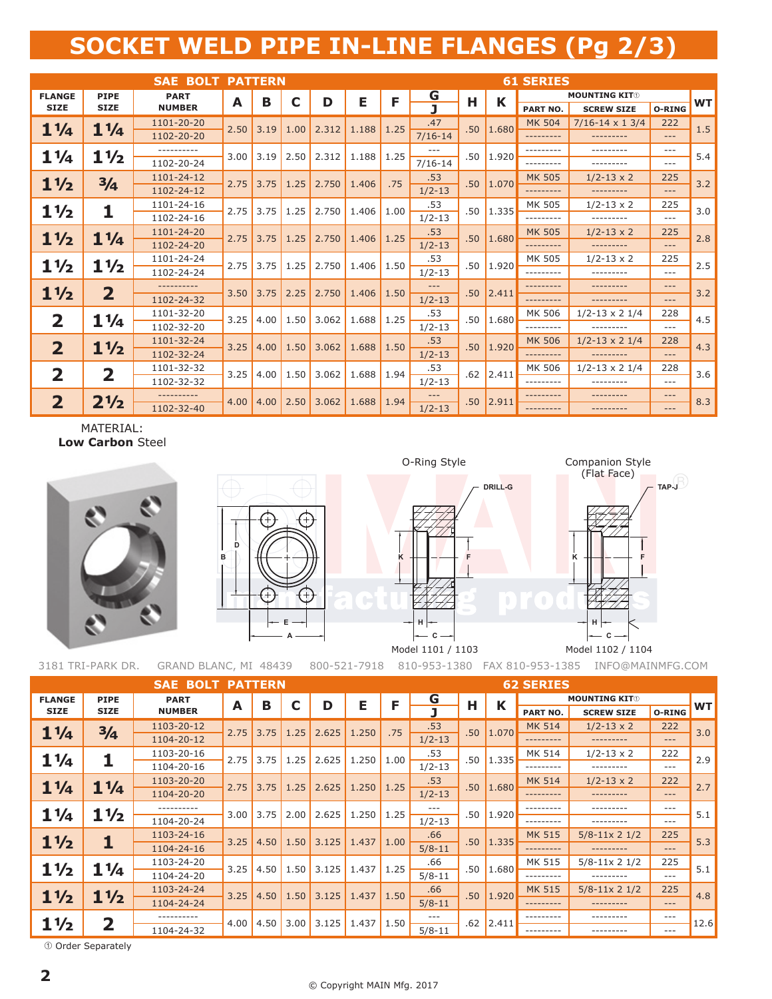## **SOCKET WELD PIPE IN-LINE FLANGES (Pg 2/3)**

|                         |                               | <b>SAE BOLT PATTERN</b> |      |             |      |       |       |      |             |     |       | <b>61 SERIES</b> |                         |         |           |
|-------------------------|-------------------------------|-------------------------|------|-------------|------|-------|-------|------|-------------|-----|-------|------------------|-------------------------|---------|-----------|
| <b>FLANGE</b>           | <b>PIPE</b>                   | <b>PART</b>             | A    | в           | C    | D     | Е     | F    | G           | Н   | K     |                  | <b>MOUNTING KIT®</b>    |         | <b>WT</b> |
| <b>SIZE</b>             | <b>SIZE</b>                   | <b>NUMBER</b>           |      |             |      |       |       |      |             |     |       | PART NO.         | <b>SCREW SIZE</b>       | O-RING  |           |
| $1\frac{1}{4}$          | $1\frac{1}{4}$                | 1101-20-20              | 2.50 | 3.19        | 1.00 | 2.312 | 1.188 | 1.25 | .47         | .50 | 1.680 | <b>MK 504</b>    | $7/16 - 14 \times 13/4$ | 222     | 1.5       |
|                         |                               | 1102-20-20              |      |             |      |       |       |      | $7/16 - 14$ |     |       | .                | ---------               | $- - -$ |           |
| $1\frac{1}{4}$          | $1\frac{1}{2}$                | ----------              | 3.00 | 3.19        | 2.50 | 2.312 | 1.188 | 1.25 |             | .50 | 1.920 | --------         | ---------               | $---$   | 5.4       |
|                         |                               | 1102-20-24              |      |             |      |       |       |      | $7/16 - 14$ |     |       | .                | ---------               | $- - -$ |           |
| $1\frac{1}{2}$          | $\frac{3}{4}$                 | 1101-24-12              | 2.75 | 3.75        | 1.25 | 2.750 | 1.406 | .75  | .53         | .50 | 1.070 | <b>MK 505</b>    | $1/2 - 13 \times 2$     | 225     | 3.2       |
|                         |                               | 1102-24-12              |      |             |      |       |       |      | $1/2 - 13$  |     |       | ---------        | ---------               | $---$   |           |
| $1\frac{1}{2}$          | 1                             | 1101-24-16              | 2.75 | 3.75        | 1.25 | 2.750 | 1.406 | 1.00 | .53         | .50 | 1.335 | MK 505           | $1/2 - 13 \times 2$     | 225     | 3.0       |
|                         |                               | 1102-24-16              |      |             |      |       |       |      | $1/2 - 13$  |     |       | ---------        | ---------               | $---$   |           |
| $1\frac{1}{2}$          | $1\frac{1}{4}$                | 1101-24-20              | 2.75 | 3.75        | 1.25 | 2.750 | 1.406 | 1.25 | .53         | .50 | 1.680 | <b>MK 505</b>    | $1/2 - 13 \times 2$     | 225     | 2.8       |
|                         |                               | 1102-24-20              |      |             |      |       |       |      | $1/2 - 13$  |     |       | ---------        | ---------               | $---$   |           |
| $1\frac{1}{2}$          | $1\frac{1}{2}$                | 1101-24-24              | 2.75 | 3.75        | 1.25 | 2.750 | 1.406 | 1.50 | .53         | .50 | 1.920 | MK 505           | $1/2 - 13 \times 2$     | 225     | 2.5       |
|                         |                               | 1102-24-24              |      |             |      |       |       |      | $1/2 - 13$  |     |       | --------         | ---------               | $---$   |           |
| $1\frac{1}{2}$          | $\overline{2}$                | ----------              | 3.50 | 3.75        | 2.25 | 2.750 | 1.406 | 1.50 | $---$       | .50 | 2.411 | ---------        | ---------               | $- - -$ | 3.2       |
|                         |                               | 1102-24-32              |      |             |      |       |       |      | $1/2 - 13$  |     |       | ---------        | ---------               | $---$   |           |
| $\overline{\mathbf{2}}$ | $1\frac{1}{4}$                | 1101-32-20              | 3.25 | 4.00        | 1.50 | 3.062 | 1.688 | 1.25 | .53         | .50 | 1.680 | MK 506           | $1/2 - 13 \times 2$ 1/4 | 228     | 4.5       |
|                         |                               | 1102-32-20              |      |             |      |       |       |      | $1/2 - 13$  |     |       | --------         | ---------               | $---$   |           |
| $\overline{2}$          | $1\frac{1}{2}$                | 1101-32-24              | 3.25 | 4.00        | 1.50 | 3.062 | 1.688 | 1.50 | .53         | .50 | 1.920 | <b>MK 506</b>    | $1/2 - 13 \times 2$ 1/4 | 228     | 4.3       |
|                         |                               | 1102-32-24              |      |             |      |       |       |      | $1/2 - 13$  |     |       | --------         | ---------               | $- - -$ |           |
| $\overline{\mathbf{2}}$ | $\overline{\mathbf{2}}$       | 1101-32-32              | 3.25 | $4.00$ 1.50 |      | 3.062 | 1.688 | 1.94 | .53         | .62 | 2.411 | <b>MK 506</b>    | $1/2 - 13 \times 21/4$  | 228     | 3.6       |
|                         |                               | 1102-32-32              |      |             |      |       |       |      | $1/2 - 13$  |     |       | --------         | ---------               | $---$   |           |
| $\overline{2}$          | 2 <sup>1</sup> / <sub>2</sub> |                         | 4.00 | 4.00        | 2.50 | 3.062 | 1.688 | 1.94 | ---         | .50 | 2.911 |                  |                         | $- - -$ | 8.3       |
|                         |                               | 1102-32-40              |      |             |      |       |       |      | $1/2 - 13$  |     |       | ---------        |                         | $- - -$ |           |

MATERIAL: **Low Carbon** Steel



**D B E A**

**H C**

**K**

**F F DRILL-G TAP-J H K** O-Ring Style Companion Style (Flat Face)

Model 1101 / 1103 Model 1102 / 1104 **C**

3181 TRI-PARK DR. GRAND BLANC, MI 48439 800-521-7918 810-953-1380 FAX 810-953-1385 INFO@MAINMFG.COM

|                |                         | <b>SAE BOLT PATTERN</b> |      |      |      |       |       | <b>62 SERIES</b> |            |     |        |                 |                         |        |           |  |
|----------------|-------------------------|-------------------------|------|------|------|-------|-------|------------------|------------|-----|--------|-----------------|-------------------------|--------|-----------|--|
| <b>FLANGE</b>  | <b>PIPE</b>             | <b>PART</b>             | A    | в    | C    | D     | Е     | F                | G          | Н   | K      |                 | <b>MOUNTING KITO</b>    |        | <b>WT</b> |  |
| <b>SIZE</b>    | <b>SIZE</b>             | <b>NUMBER</b>           |      |      |      |       |       |                  |            |     |        | <b>PART NO.</b> | <b>SCREW SIZE</b>       | O-RING |           |  |
| $1\frac{1}{4}$ | 3/4                     | 1103-20-12              | 2.75 | 3.75 | 1.25 | 2.625 | 1.250 | .75              | .53        | .50 | 1.070  | <b>MK 514</b>   | $1/2 - 13 \times 2$     | 222    | 3.0       |  |
|                |                         | 1104-20-12              |      |      |      |       |       |                  | $1/2 - 13$ |     |        |                 |                         | $---$  |           |  |
| $1\frac{1}{4}$ |                         | 1103-20-16              | 2.75 | 3.75 | 1.25 | 2.625 | 1.250 | 1.00             | .53        | .50 | 1.335  | MK 514          | $1/2 - 13 \times 2$     | 222    | 2.9       |  |
|                |                         | 1104-20-16              |      |      |      |       |       |                  | $1/2 - 13$ |     |        | ---------       |                         | $---$  |           |  |
| $1\frac{1}{4}$ | $1\frac{1}{4}$          | 1103-20-20              | 2.75 | 3.75 | 1.25 | 2.625 | 1.250 | 1.25             | .53        | .50 | 1.680  | <b>MK 514</b>   | $1/2 - 13 \times 2$     | 222    | 2.7       |  |
|                |                         | 1104-20-20              |      |      |      |       |       |                  | $1/2 - 13$ |     |        | ---------       | ---------               | $---$  |           |  |
| $1\frac{1}{4}$ | $1\frac{1}{2}$          |                         | 3.00 | 3.75 | 2.00 | 2.625 | 1.250 | 1.25             | $- - -$    | .50 | 1.920  | ---------       | ---------               | $---$  | 5.1       |  |
|                |                         | 1104-20-24              |      |      |      |       |       |                  | $1/2 - 13$ |     |        | ---------       |                         | $---$  |           |  |
| $1\frac{1}{2}$ |                         | 1103-24-16              | 3.25 | 4.50 | 1.50 | 3.125 | 1.437 | 1.00             | .66        | .50 | 1.335  | <b>MK 515</b>   | $5/8 - 11 \times 2$ 1/2 | 225    | 5.3       |  |
|                |                         | 1104-24-16              |      |      |      |       |       |                  | $5/8 - 11$ |     |        | ---------       | ---------               | $---$  |           |  |
| $1\frac{1}{2}$ | $1\frac{1}{4}$          | 1103-24-20              | 3.25 | 4.50 | 1.50 | 3.125 | 1.437 | 1.25             | .66        | .50 | 1.680  | MK 515          | $5/8 - 11 \times 2$ 1/2 | 225    | 5.1       |  |
|                |                         | 1104-24-20              |      |      |      |       |       |                  | $5/8 - 11$ |     |        | ---------       |                         | $---$  |           |  |
| $1\frac{1}{2}$ | $1\frac{1}{2}$          | 1103-24-24              | 3.25 | 4.50 | 1.50 | 3.125 | 1.437 | 1.50             | .66        | .50 | 1.920  | <b>MK 515</b>   | $5/8 - 11 \times 2$ 1/2 | 225    | 4.8       |  |
|                |                         | 1104-24-24              |      |      |      |       |       |                  | $5/8 - 11$ |     |        | ---------       | ---------               | $---$  |           |  |
| $1\frac{1}{2}$ | $\overline{\mathbf{2}}$ |                         | 4.00 | 4.50 | 3.00 | 3.125 | 1.437 | 1.50             | $- - -$    | .62 | 12.411 |                 |                         | $---$  | 12.6      |  |
|                |                         | 1104-24-32              |      |      |      |       |       |                  | $5/8 - 11$ |     |        | ---------       |                         | $---$  |           |  |

Order Separately

## © Copyright MAIN Mfg. 2017